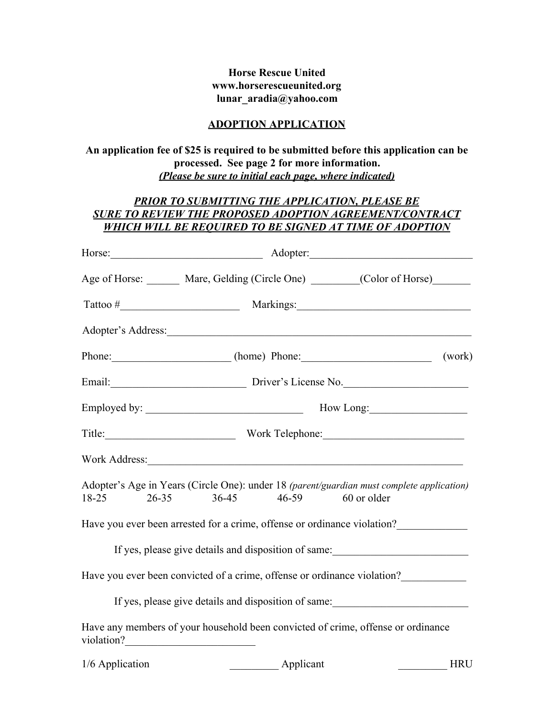## **Horse Rescue United www.horserescueunited.org lunar\_aradia@yahoo.com**

#### **ADOPTION APPLICATION**

**An application fee of \$25 is required to be submitted before this application can be processed. See page 2 for more information.** *(Please be sure to initial each page, where indicated)*

# *PRIOR TO SUBMITTING THE APPLICATION, PLEASE BE SURE TO REVIEW THE PROPOSED ADOPTION AGREEMENT/CONTRACT WHICH WILL BE REQUIRED TO BE SIGNED AT TIME OF ADOPTION*

|                 | Horse: Adopter: Adopter:                                                                                                      |
|-----------------|-------------------------------------------------------------------------------------------------------------------------------|
|                 | Age of Horse: Mare, Gelding (Circle One) _________(Color of Horse)                                                            |
|                 |                                                                                                                               |
|                 |                                                                                                                               |
|                 | Phone: (work) (work)                                                                                                          |
|                 | Email: Driver's License No.                                                                                                   |
|                 |                                                                                                                               |
|                 | Title: Work Telephone: Work Communication Communication Communication Communication Communication Communication               |
|                 |                                                                                                                               |
| $18-25$         | Adopter's Age in Years (Circle One): under 18 (parent/guardian must complete application)<br>26-35 36-45 46-59<br>60 or older |
|                 | Have you ever been arrested for a crime, offense or ordinance violation?                                                      |
|                 | If yes, please give details and disposition of same:                                                                          |
|                 | Have you ever been convicted of a crime, offense or ordinance violation?                                                      |
|                 | If yes, please give details and disposition of same:                                                                          |
|                 | Have any members of your household been convicted of crime, offense or ordinance                                              |
| 1/6 Application | Applicant<br><b>HRU</b>                                                                                                       |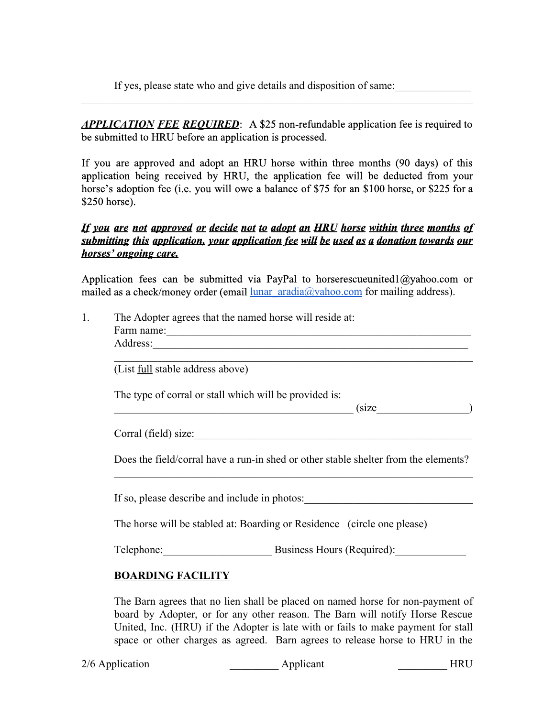If yes, please state who and give details and disposition of same:

*APPLICATION FEE REQUIRED*: A \$25 non-refundable application fee is required to be submitted to HRU before an application is processed.

 $\mathcal{L}_\text{max}$  , and the contribution of the contribution of the contribution of the contribution of the contribution of the contribution of the contribution of the contribution of the contribution of the contribution of t

If you are approved and adopt an HRU horse within three months (90 days) of this application being received by HRU, the application fee will be deducted from your horse's adoption fee (i.e. you will owe a balance of \$75 for an \$100 horse, or \$225 for a \$250 horse).

# *If you are not approved or decide not to adopt an HRU horse within three months of submitting this application, your application fee will be used as a donation towards our horses' ongoing care.*

Application fees can be submitted via PayPal to horserescueunited1@yahoo.com or mailed as a check/money order (email  $\frac{\text{lunar } \text{aradia}(\partial x)\text{ahoo.com}}{\text{com}}$  for mailing address).

|                                         | The Adopter agrees that the named horse will reside at:                             |  |
|-----------------------------------------|-------------------------------------------------------------------------------------|--|
|                                         |                                                                                     |  |
|                                         |                                                                                     |  |
| (List <u>full</u> stable address above) |                                                                                     |  |
|                                         | The type of corral or stall which will be provided is:                              |  |
|                                         | $\frac{\text{(size}\_\_)}{\text{(size}\_\_)}$                                       |  |
|                                         | Corral (field) size:                                                                |  |
|                                         |                                                                                     |  |
|                                         | Does the field/corral have a run-in shed or other stable shelter from the elements? |  |
|                                         | If so, please describe and include in photos:                                       |  |
|                                         | The horse will be stabled at: Boarding or Residence (circle one please)             |  |

The Barn agrees that no lien shall be placed on named horse for non-payment of board by Adopter, or for any other reason. The Barn will notify Horse Rescue United, Inc. (HRU) if the Adopter is late with or fails to make payment for stall space or other charges as agreed. Barn agrees to release horse to HRU in the

2/6 Application **Applicant Applicant HRU**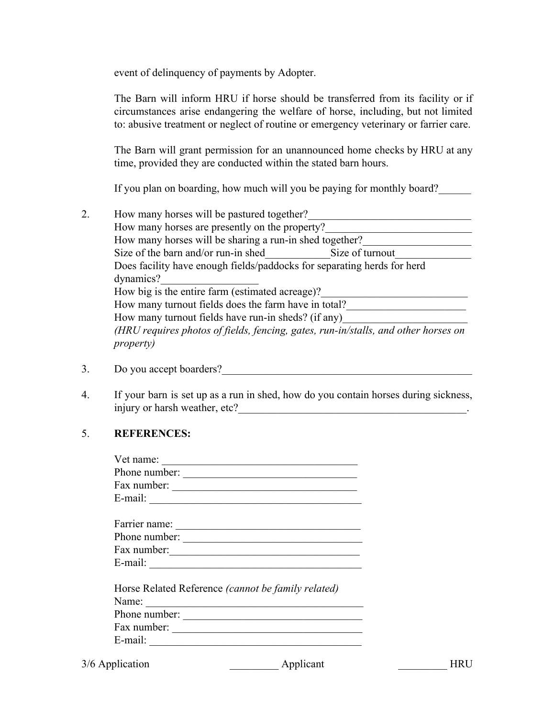event of delinquency of payments by Adopter.

The Barn will inform HRU if horse should be transferred from its facility or if circumstances arise endangering the welfare of horse, including, but not limited to: abusive treatment or neglect of routine or emergency veterinary or farrier care.

The Barn will grant permission for an unannounced home checks by HRU at any time, provided they are conducted within the stated barn hours.

If you plan on boarding, how much will you be paying for monthly board?

- 2. How many horses will be pastured together? How many horses are presently on the property? How many horses will be sharing a run-in shed together? Size of the barn and/or run-in shed Size of turnout Does facility have enough fields/paddocks for separating herds for herd dynamics?\_\_\_\_\_\_\_\_\_\_\_\_\_\_\_\_\_\_ How big is the entire farm (estimated acreage)? How many turnout fields does the farm have in total? How many turnout fields have run-in sheds? (if any) *(HRU requires photos of fields, fencing, gates, runin/stalls, and other horses on property)*
- 3. Do you accept boarders?
- 4. If your barn is set up as a run in shed, how do you contain horses during sickness, injury or harsh weather, etc?\_\_\_\_\_\_\_\_\_\_\_\_\_\_\_\_\_\_\_\_\_\_\_\_\_\_\_\_\_\_\_\_\_\_\_\_\_\_\_\_\_\_.

## 5. **REFERENCES:**

| Vet name: $\qquad \qquad$                                      |  |
|----------------------------------------------------------------|--|
| Phone number:                                                  |  |
| Fax number: $\frac{1}{\sqrt{1-\frac{1}{2}} \cdot \frac{1}{2}}$ |  |
| E-mail: $\qquad \qquad$                                        |  |
|                                                                |  |
|                                                                |  |
| Phone number:                                                  |  |
|                                                                |  |
| E-mail: $\qquad \qquad$                                        |  |
|                                                                |  |
| Horse Related Reference (cannot be family related)             |  |
| Name: $\frac{1}{2}$                                            |  |
| Phone number:                                                  |  |
| Fax number: $\sqrt{2\pi}$                                      |  |
|                                                                |  |

3/6 Application **Applicant** Applicant HRU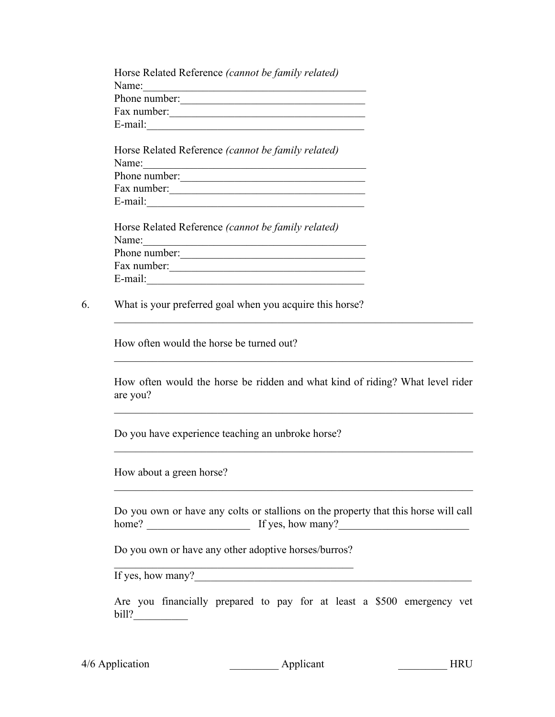| Horse Related Reference (cannot be family related) |
|----------------------------------------------------|
| Name:                                              |
| Phone number:                                      |
| Fax number:                                        |
| E-mail:                                            |
|                                                    |
| Horse Related Reference (cannot be family related) |
| Name <sup>-</sup>                                  |

| Phone number: |  |
|---------------|--|
| Fax number:   |  |
| E-mail:       |  |

|               | Horse Related Reference <i>(cannot be family related)</i> |
|---------------|-----------------------------------------------------------|
| Name:         |                                                           |
| Phone number: |                                                           |
| Fax number:   |                                                           |
| E-mail:       |                                                           |

6. What is your preferred goal when you acquire this horse?

How often would the horse be turned out?

How often would the horse be ridden and what kind of riding? What level rider are you?

 $\mathcal{L}_\mathcal{L} = \mathcal{L}_\mathcal{L} = \mathcal{L}_\mathcal{L} = \mathcal{L}_\mathcal{L} = \mathcal{L}_\mathcal{L} = \mathcal{L}_\mathcal{L} = \mathcal{L}_\mathcal{L} = \mathcal{L}_\mathcal{L} = \mathcal{L}_\mathcal{L} = \mathcal{L}_\mathcal{L} = \mathcal{L}_\mathcal{L} = \mathcal{L}_\mathcal{L} = \mathcal{L}_\mathcal{L} = \mathcal{L}_\mathcal{L} = \mathcal{L}_\mathcal{L} = \mathcal{L}_\mathcal{L} = \mathcal{L}_\mathcal{L}$ 

 $\mathcal{L}_\mathcal{L} = \mathcal{L}_\mathcal{L} = \mathcal{L}_\mathcal{L} = \mathcal{L}_\mathcal{L} = \mathcal{L}_\mathcal{L} = \mathcal{L}_\mathcal{L} = \mathcal{L}_\mathcal{L} = \mathcal{L}_\mathcal{L} = \mathcal{L}_\mathcal{L} = \mathcal{L}_\mathcal{L} = \mathcal{L}_\mathcal{L} = \mathcal{L}_\mathcal{L} = \mathcal{L}_\mathcal{L} = \mathcal{L}_\mathcal{L} = \mathcal{L}_\mathcal{L} = \mathcal{L}_\mathcal{L} = \mathcal{L}_\mathcal{L}$ 

 $\mathcal{L}_\mathcal{L} = \mathcal{L}_\mathcal{L} = \mathcal{L}_\mathcal{L} = \mathcal{L}_\mathcal{L} = \mathcal{L}_\mathcal{L} = \mathcal{L}_\mathcal{L} = \mathcal{L}_\mathcal{L} = \mathcal{L}_\mathcal{L} = \mathcal{L}_\mathcal{L} = \mathcal{L}_\mathcal{L} = \mathcal{L}_\mathcal{L} = \mathcal{L}_\mathcal{L} = \mathcal{L}_\mathcal{L} = \mathcal{L}_\mathcal{L} = \mathcal{L}_\mathcal{L} = \mathcal{L}_\mathcal{L} = \mathcal{L}_\mathcal{L}$ 

 $\mathcal{L}_\mathcal{L} = \mathcal{L}_\mathcal{L} = \mathcal{L}_\mathcal{L} = \mathcal{L}_\mathcal{L} = \mathcal{L}_\mathcal{L} = \mathcal{L}_\mathcal{L} = \mathcal{L}_\mathcal{L} = \mathcal{L}_\mathcal{L} = \mathcal{L}_\mathcal{L} = \mathcal{L}_\mathcal{L} = \mathcal{L}_\mathcal{L} = \mathcal{L}_\mathcal{L} = \mathcal{L}_\mathcal{L} = \mathcal{L}_\mathcal{L} = \mathcal{L}_\mathcal{L} = \mathcal{L}_\mathcal{L} = \mathcal{L}_\mathcal{L}$ 

Do you have experience teaching an unbroke horse?

How about a green horse?

Do you own or have any colts or stallions on the property that this horse will call home? \_\_\_\_\_\_\_\_\_\_\_\_\_\_\_\_\_\_\_ If yes, how many?\_\_\_\_\_\_\_\_\_\_\_\_\_\_\_\_\_\_\_\_\_\_\_\_

 $\mathcal{L}_\mathcal{L} = \mathcal{L}_\mathcal{L} = \mathcal{L}_\mathcal{L} = \mathcal{L}_\mathcal{L} = \mathcal{L}_\mathcal{L} = \mathcal{L}_\mathcal{L} = \mathcal{L}_\mathcal{L} = \mathcal{L}_\mathcal{L} = \mathcal{L}_\mathcal{L} = \mathcal{L}_\mathcal{L} = \mathcal{L}_\mathcal{L} = \mathcal{L}_\mathcal{L} = \mathcal{L}_\mathcal{L} = \mathcal{L}_\mathcal{L} = \mathcal{L}_\mathcal{L} = \mathcal{L}_\mathcal{L} = \mathcal{L}_\mathcal{L}$ 

Do you own or have any other adoptive horses/burros?  $\mathcal{L}_\text{max}$  , and the contract of the contract of the contract of the contract of the contract of the contract of the contract of the contract of the contract of the contract of the contract of the contract of the contr

If yes, how many?

Are you financially prepared to pay for at least a \$500 emergency vet bill?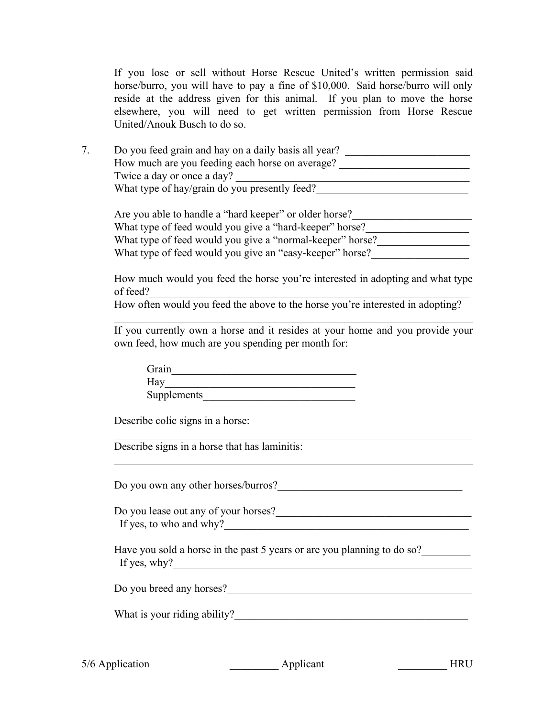If you lose or sell without Horse Rescue United's written permission said horse/burro, you will have to pay a fine of \$10,000. Said horse/burro will only reside at the address given for this animal. If you plan to move the horse elsewhere, you will need to get written permission from Horse Rescue United/Anouk Busch to do so.

7. Do you feed grain and hay on a daily basis all year? How much are you feeding each horse on average? Twice a day or once a day? What type of hay/grain do you presently feed?

Are you able to handle a "hard keeper" or older horse? What type of feed would you give a "hard-keeper" horse? What type of feed would you give a "normal-keeper" horse? What type of feed would you give an "easy-keeper" horse?

How much would you feed the horse you're interested in adopting and what type of feed?

How often would you feed the above to the horse you're interested in adopting?

If you currently own a horse and it resides at your home and you provide your own feed, how much are you spending per month for:

 $\mathcal{L}_\mathcal{L} = \mathcal{L}_\mathcal{L} = \mathcal{L}_\mathcal{L} = \mathcal{L}_\mathcal{L} = \mathcal{L}_\mathcal{L} = \mathcal{L}_\mathcal{L} = \mathcal{L}_\mathcal{L} = \mathcal{L}_\mathcal{L} = \mathcal{L}_\mathcal{L} = \mathcal{L}_\mathcal{L} = \mathcal{L}_\mathcal{L} = \mathcal{L}_\mathcal{L} = \mathcal{L}_\mathcal{L} = \mathcal{L}_\mathcal{L} = \mathcal{L}_\mathcal{L} = \mathcal{L}_\mathcal{L} = \mathcal{L}_\mathcal{L}$ 

| Grain       |  |
|-------------|--|
| Hay         |  |
| Supplements |  |

Describe colic signs in a horse:

Describe signs in a horse that has laminitis:

Do you own any other horses/burros?

Do you lease out any of your horses? If yes, to who and why?

 $\mathcal{L}_\mathcal{L} = \mathcal{L}_\mathcal{L} = \mathcal{L}_\mathcal{L} = \mathcal{L}_\mathcal{L} = \mathcal{L}_\mathcal{L} = \mathcal{L}_\mathcal{L} = \mathcal{L}_\mathcal{L} = \mathcal{L}_\mathcal{L} = \mathcal{L}_\mathcal{L} = \mathcal{L}_\mathcal{L} = \mathcal{L}_\mathcal{L} = \mathcal{L}_\mathcal{L} = \mathcal{L}_\mathcal{L} = \mathcal{L}_\mathcal{L} = \mathcal{L}_\mathcal{L} = \mathcal{L}_\mathcal{L} = \mathcal{L}_\mathcal{L}$ 

 $\mathcal{L}_\mathcal{L} = \mathcal{L}_\mathcal{L} = \mathcal{L}_\mathcal{L} = \mathcal{L}_\mathcal{L} = \mathcal{L}_\mathcal{L} = \mathcal{L}_\mathcal{L} = \mathcal{L}_\mathcal{L} = \mathcal{L}_\mathcal{L} = \mathcal{L}_\mathcal{L} = \mathcal{L}_\mathcal{L} = \mathcal{L}_\mathcal{L} = \mathcal{L}_\mathcal{L} = \mathcal{L}_\mathcal{L} = \mathcal{L}_\mathcal{L} = \mathcal{L}_\mathcal{L} = \mathcal{L}_\mathcal{L} = \mathcal{L}_\mathcal{L}$ 

Have you sold a horse in the past 5 years or are you planning to do so? If yes, why?  $\qquad \qquad \qquad \qquad$ 

Do you breed any horses?\_\_\_\_\_\_\_\_\_\_\_\_\_\_\_\_\_\_\_\_\_\_\_\_\_\_\_\_\_\_\_\_\_\_\_\_\_\_\_\_\_\_\_\_\_

What is your riding ability?

5/6 Application **Applicant EXECUTE:** Applicant **EXECUTE:** Applicant **EXECUTE:**  $\frac{1}{2}$